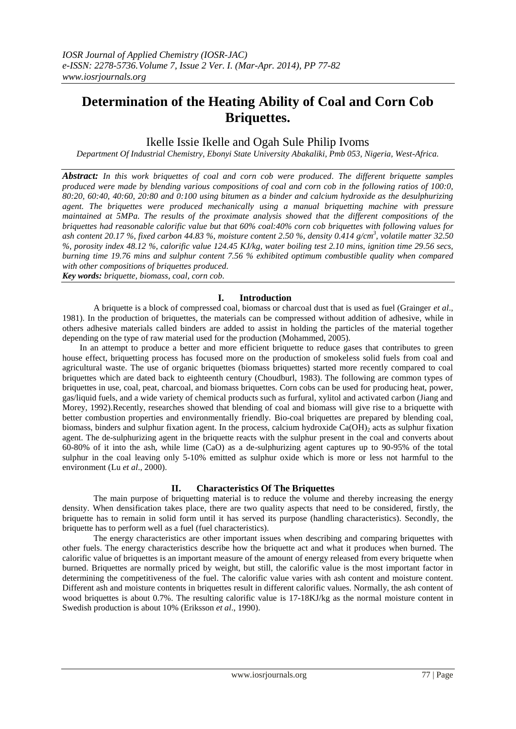# **Determination of the Heating Ability of Coal and Corn Cob Briquettes.**

## Ikelle Issie Ikelle and Ogah Sule Philip Ivoms

*Department Of Industrial Chemistry, Ebonyi State University Abakaliki, Pmb 053, Nigeria, West-Africa.*

*Abstract: In this work briquettes of coal and corn cob were produced. The different briquette samples produced were made by blending various compositions of coal and corn cob in the following ratios of 100:0, 80:20, 60:40, 40:60, 20:80 and 0:100 using bitumen as a binder and calcium hydroxide as the desulphurizing agent. The briquettes were produced mechanically using a manual briquetting machine with pressure maintained at 5MPa. The results of the proximate analysis showed that the different compositions of the briquettes had reasonable calorific value but that 60% coal:40% corn cob briquettes with following values for ash content 20.17 %, fixed carbon 44.83 %, moisture content 2.50 %, density 0.414 g/cm<sup>3</sup> , volatile matter 32.50 %, porosity index 48.12 %, calorific value 124.45 KJ/kg, water boiling test 2.10 mins, ignition time 29.56 secs, burning time 19.76 mins and sulphur content 7.56 % exhibited optimum combustible quality when compared with other compositions of briquettes produced*.

*Key words: briquette, biomass, coal, corn cob.*

## **I. Introduction**

A briquette is a block of compressed coal, biomass or charcoal dust that is used as fuel (Grainger *et al*., 1981). In the production of briquettes, the materials can be compressed without addition of adhesive, while in others adhesive materials called binders are added to assist in holding the particles of the material together depending on the type of raw material used for the production (Mohammed, 2005).

In an attempt to produce a better and more efficient briquette to reduce gases that contributes to green house effect, briquetting process has focused more on the production of smokeless solid fuels from coal and agricultural waste. The use of organic briquettes (biomass briquettes) started more recently compared to coal briquettes which are dated back to eighteenth century (Choudburl, 1983). The following are common types of briquettes in use, coal, peat, charcoal, and biomass briquettes. Corn cobs can be used for producing heat, power, gas/liquid fuels, and a wide variety of chemical products such as furfural, xylitol and activated carbon (Jiang and Morey, 1992).Recently, researches showed that blending of coal and biomass will give rise to a briquette with better combustion properties and environmentally friendly. Bio-coal briquettes are prepared by blending coal, biomass, binders and sulphur fixation agent. In the process, calcium hydroxide  $Ca(OH)_2$  acts as sulphur fixation agent. The de-sulphurizing agent in the briquette reacts with the sulphur present in the coal and converts about 60-80% of it into the ash, while lime (CaO) as a de-sulphurizing agent captures up to 90-95% of the total sulphur in the coal leaving only 5-10% emitted as sulphur oxide which is more or less not harmful to the environment (Lu *et al*., 2000).

## **II. Characteristics Of The Briquettes**

The main purpose of briquetting material is to reduce the volume and thereby increasing the energy density. When densification takes place, there are two quality aspects that need to be considered, firstly, the briquette has to remain in solid form until it has served its purpose (handling characteristics). Secondly, the briquette has to perform well as a fuel (fuel characteristics).

The energy characteristics are other important issues when describing and comparing briquettes with other fuels. The energy characteristics describe how the briquette act and what it produces when burned. The calorific value of briquettes is an important measure of the amount of energy released from every briquette when burned. Briquettes are normally priced by weight, but still, the calorific value is the most important factor in determining the competitiveness of the fuel. The calorific value varies with ash content and moisture content. Different ash and moisture contents in briquettes result in different calorific values. Normally, the ash content of wood briquettes is about 0.7%. The resulting calorific value is 17-18KJ/kg as the normal moisture content in Swedish production is about 10% (Eriksson *et al*., 1990).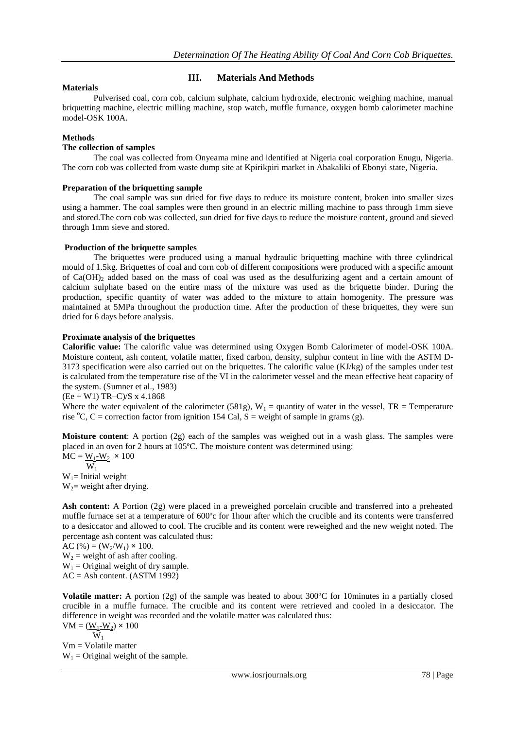## **III. Materials And Methods**

## **Materials**

Pulverised coal, corn cob, calcium sulphate, calcium hydroxide, electronic weighing machine, manual briquetting machine, electric milling machine, stop watch, muffle furnance, oxygen bomb calorimeter machine model-OSK 100A.

## **Methods**

#### **The collection of samples**

The coal was collected from Onyeama mine and identified at Nigeria coal corporation Enugu, Nigeria. The corn cob was collected from waste dump site at Kpirikpiri market in Abakaliki of Ebonyi state, Nigeria.

#### **Preparation of the briquetting sample**

The coal sample was sun dried for five days to reduce its moisture content, broken into smaller sizes using a hammer. The coal samples were then ground in an electric milling machine to pass through 1mm sieve and stored.The corn cob was collected, sun dried for five days to reduce the moisture content, ground and sieved through 1mm sieve and stored.

#### **Production of the briquette samples**

The briquettes were produced using a manual hydraulic briquetting machine with three cylindrical mould of 1.5kg. Briquettes of coal and corn cob of different compositions were produced with a specific amount of  $Ca(OH)_2$  added based on the mass of coal was used as the desulfurizing agent and a certain amount of calcium sulphate based on the entire mass of the mixture was used as the briquette binder. During the production, specific quantity of water was added to the mixture to attain homogenity. The pressure was maintained at 5MPa throughout the production time. After the production of these briquettes, they were sun dried for 6 days before analysis.

## **Proximate analysis of the briquettes**

**Calorific value:** The calorific value was determined using Oxygen Bomb Calorimeter of model-OSK 100A. Moisture content, ash content, volatile matter, fixed carbon, density, sulphur content in line with the ASTM D-3173 specification were also carried out on the briquettes. The calorific value (KJ/kg) of the samples under test is calculated from the temperature rise of the VI in the calorimeter vessel and the mean effective heat capacity of the system. (Sumner et al., 1983)

 $(Ee + W1) TR-C)/S x 4.1868$ 

Where the water equivalent of the calorimeter (581g),  $W_1$  = quantity of water in the vessel, TR = Temperature rise  ${}^{\circ}C$ , C = correction factor from ignition 154 Cal, S = weight of sample in grams (g).

**Moisture content**: A portion (2g) each of the samples was weighed out in a wash glass. The samples were placed in an oven for 2 hours at 105ºC. The moisture content was determined using:

 $MC = W_1-W_2 \times 100$  $W_1$  $W_1$ = Initial weight  $W_2$  weight after drying.

**Ash content:** A Portion (2g) were placed in a preweighed porcelain crucible and transferred into a preheated muffle furnace set at a temperature of 600ºc for 1hour after which the crucible and its contents were transferred to a desiccator and allowed to cool. The crucible and its content were reweighed and the new weight noted. The percentage ash content was calculated thus:

AC (%) =  $(W_2/W_1) \times 100$ .  $W_2$  = weight of ash after cooling.  $W_1$  = Original weight of dry sample. AC = Ash content. (ASTM 1992)

**Volatile matter:** A portion (2g) of the sample was heated to about 300ºC for 10minutes in a partially closed crucible in a muffle furnace. The crucible and its content were retrieved and cooled in a desiccator. The difference in weight was recorded and the volatile matter was calculated thus:  $VM = (\underline{W_1} - \underline{W_2}) \times 100$ 

 $\overline{W}_1$ 

Vm = Volatile matter  $W_1$  = Original weight of the sample.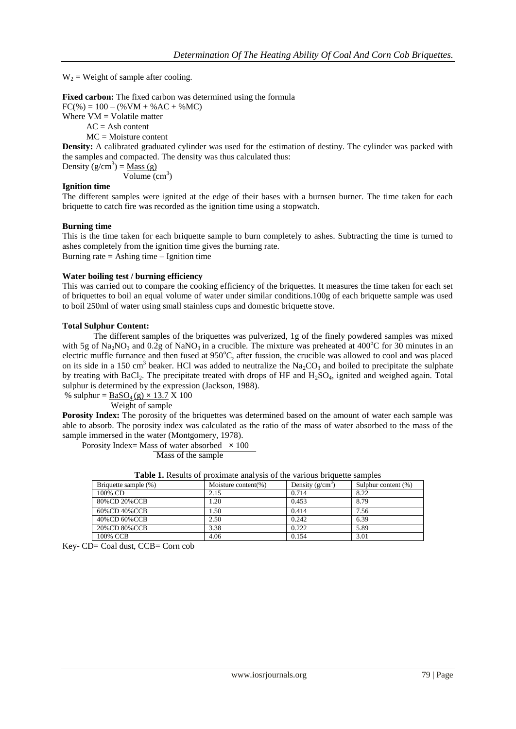$W_2$  = Weight of sample after cooling.

**Fixed carbon:** The fixed carbon was determined using the formula  $FC(\%)=100-(\%VM+\%AC+\%MC)$ Where  $VM = Vol$  volatile matter  $AC = Ash content$ 

 $MC = Moisture content$ 

**Density:** A calibrated graduated cylinder was used for the estimation of destiny. The cylinder was packed with the samples and compacted. The density was thus calculated thus:

Density  $(g/cm^3) = Mass(g)$ Volume (cm<sup>3</sup>)

## **Ignition time**

The different samples were ignited at the edge of their bases with a burnsen burner. The time taken for each briquette to catch fire was recorded as the ignition time using a stopwatch.

#### **Burning time**

This is the time taken for each briquette sample to burn completely to ashes. Subtracting the time is turned to ashes completely from the ignition time gives the burning rate. Burning rate  $=$  Ashing time  $-$  Ignition time

#### **Water boiling test / burning efficiency**

This was carried out to compare the cooking efficiency of the briquettes. It measures the time taken for each set of briquettes to boil an equal volume of water under similar conditions.100g of each briquette sample was used to boil 250ml of water using small stainless cups and domestic briquette stove.

#### **Total Sulphur Content:**

The different samples of the briquettes was pulverized, 1g of the finely powdered samples was mixed with 5g of Na<sub>2</sub>NO<sub>3</sub> and 0.2g of NaNO<sub>3</sub> in a crucible. The mixture was preheated at 400<sup>o</sup>C for 30 minutes in an electric muffle furnance and then fused at 950°C, after fussion, the crucible was allowed to cool and was placed on its side in a 150 cm<sup>3</sup> beaker. HCl was added to neutralize the Na<sub>2</sub>CO<sub>3</sub> and boiled to precipitate the sulphate by treating with BaCl<sub>2</sub>. The precipitate treated with drops of HF and H<sub>2</sub>SO<sub>4</sub>, ignited and weighed again. Total sulphur is determined by the expression (Jackson, 1988).

% sulphur =  $BaSO_4(g) \times 13.7 X 100$ Weight of sample

**Porosity Index:** The porosity of the briquettes was determined based on the amount of water each sample was able to absorb. The porosity index was calculated as the ratio of the mass of water absorbed to the mass of the sample immersed in the water (Montgomery, 1978).

Porosity Index= Mass of water absorbed  $\times$  100

Mass of the sample

|--|

| Briquette sample (%) | Moisture content(%) | Density $(g/cm3)$ | Sulphur content (%) |
|----------------------|---------------------|-------------------|---------------------|
| 100% CD              | 2.15                | 0.714             | 8.22                |
| 80%CD 20%CCB         | 1.20                | 0.453             | 8.79                |
| 60%CD 40%CCB         | 1.50                | 0.414             | 7.56                |
| 40%CD 60%CCB         | 2.50                | 0.242             | 6.39                |
| 20%CD 80%CCB         | 3.38                | 0.222             | 5.89                |
| 100% CCB             | 4.06                | 0.154             | 3.01                |

Key- CD= Coal dust, CCB= Corn cob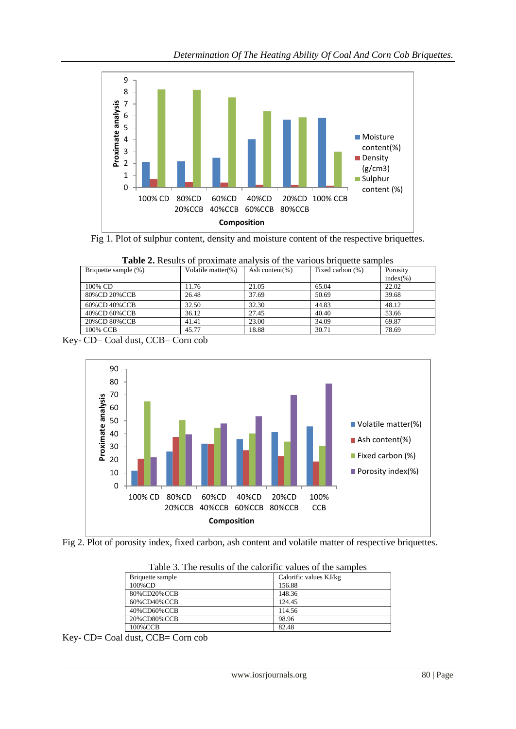

Fig 1. Plot of sulphur content, density and moisture content of the respective briquettes.

| <b>Tuble 2.</b> Kesults of provintate and visit of the various originate samples |                        |                |                  |              |  |  |
|----------------------------------------------------------------------------------|------------------------|----------------|------------------|--------------|--|--|
| Briquette sample (%)                                                             | Volatile matter $(\%)$ | Ash content(%) | Fixed carbon (%) | Porosity     |  |  |
|                                                                                  |                        |                |                  | $index(\% )$ |  |  |
| 100% CD                                                                          | 11.76                  | 21.05          | 65.04            | 22.02        |  |  |
| 80%CD 20%CCB                                                                     | 26.48                  | 37.69          | 50.69            | 39.68        |  |  |
| 60%CD 40%CCB                                                                     | 32.50                  | 32.30          | 44.83            | 48.12        |  |  |
| 40%CD 60%CCB                                                                     | 36.12                  | 27.45          | 40.40            | 53.66        |  |  |
| 20%CD 80%CCB                                                                     | 41.41                  | 23.00          | 34.09            | 69.87        |  |  |
| 100% CCB                                                                         | 45.77                  | 18.88          | 30.71            | 78.69        |  |  |

| <b>Table 2.</b> Results of proximate analysis of the various briquette samples |  |  |  |  |  |
|--------------------------------------------------------------------------------|--|--|--|--|--|
|--------------------------------------------------------------------------------|--|--|--|--|--|

Key- CD= Coal dust, CCB= Corn cob





| Tuble 5. The results of the caloring values of the sumbles |                        |  |  |  |  |
|------------------------------------------------------------|------------------------|--|--|--|--|
| Briquette sample                                           | Calorific values KJ/kg |  |  |  |  |
| 100%CD                                                     | 156.88                 |  |  |  |  |
| 80%CD20%CCB                                                | 148.36                 |  |  |  |  |
| 60%CD40%CCB                                                | 124.45                 |  |  |  |  |
| 40%CD60%CCB                                                | 114.56                 |  |  |  |  |
| 20%CD80%CCB                                                | 98.96                  |  |  |  |  |
| 100%CCB                                                    | 82.48                  |  |  |  |  |



Key- CD= Coal dust, CCB= Corn cob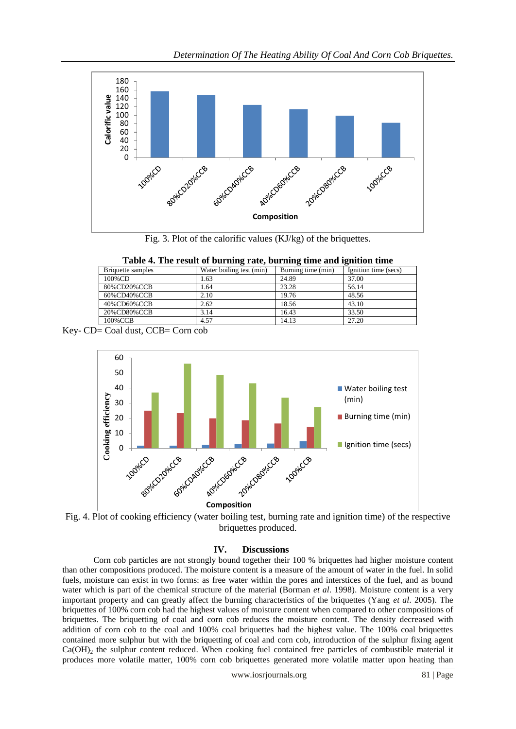

Fig. 3. Plot of the calorific values (KJ/kg) of the briquettes.

|  |  | Table 4. The result of burning rate, burning time and ignition time |  |  |  |  |  |  |
|--|--|---------------------------------------------------------------------|--|--|--|--|--|--|
|--|--|---------------------------------------------------------------------|--|--|--|--|--|--|

| Briquette samples | . .<br>Water boiling test (min) | Burning time (min) | Ignition time (secs) |
|-------------------|---------------------------------|--------------------|----------------------|
| 100%CD            | .63                             | 24.89              | 37.00                |
| 80%CD20%CCB       | .64                             | 23.28              | 56.14                |
| 60%CD40%CCB       | 2.10                            | 19.76              | 48.56                |
| 40%CD60%CCB       | 2.62                            | 18.56              | 43.10                |
| 20%CD80%CCB       | 3.14                            | 16.43              | 33.50                |
| 100%CCB           | 4.57                            | 14.13              | 27.20                |

Key- CD= Coal dust, CCB= Corn cob



Fig. 4. Plot of cooking efficiency (water boiling test, burning rate and ignition time) of the respective briquettes produced.

## **IV. Discussions**

Corn cob particles are not strongly bound together their 100 % briquettes had higher moisture content than other compositions produced. The moisture content is a measure of the amount of water in the fuel. In solid fuels, moisture can exist in two forms: as free water within the pores and interstices of the fuel, and as bound water which is part of the chemical structure of the material (Borman *et al*. 1998). Moisture content is a very important property and can greatly affect the burning characteristics of the briquettes (Yang *et al*. 2005). The briquettes of 100% corn cob had the highest values of moisture content when compared to other compositions of briquettes. The briquetting of coal and corn cob reduces the moisture content. The density decreased with addition of corn cob to the coal and 100% coal briquettes had the highest value. The 100% coal briquettes contained more sulphur but with the briquetting of coal and corn cob, introduction of the sulphur fixing agent  $Ca(OH)_2$  the sulphur content reduced. When cooking fuel contained free particles of combustible material it produces more volatile matter, 100% corn cob briquettes generated more volatile matter upon heating than